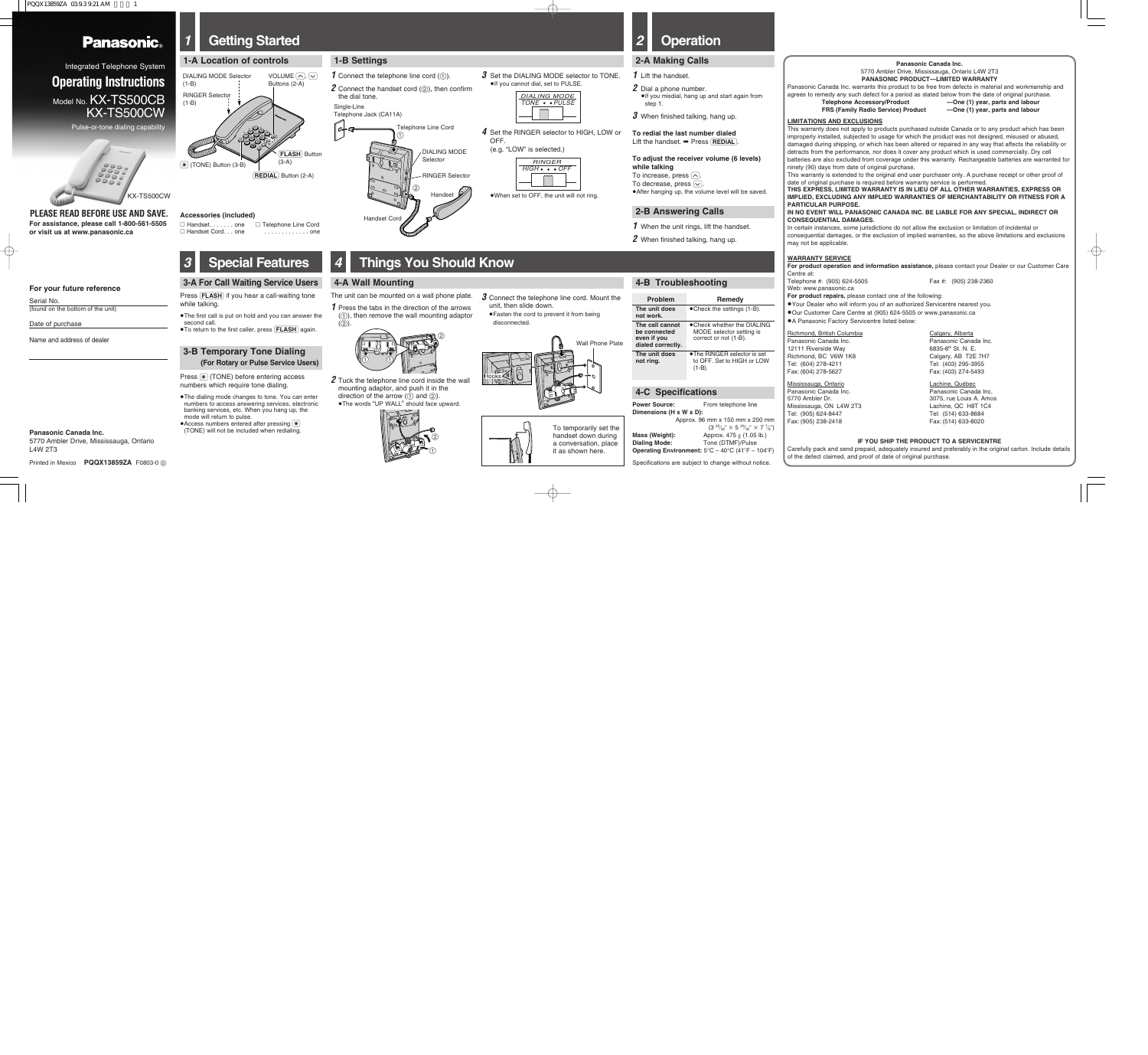PQQX13859ZA 03.9.3.9:21 AM

## **Panasonic**®

# *1* **Getting Started**

# *4* **Things You Should Know**

**1-B Settings**

#### **4-A Wall Mounting**

 $(2)$ 

- **3** Set the DIALING MODE selector to TONE. <sup>≥</sup>If you cannot dial, set to PULSE.
	- DIALING MODE

| DIALING MODE                   |  |  |  |  |
|--------------------------------|--|--|--|--|
| TONE $\bullet$ $\bullet$ PULSE |  |  |  |  |
|                                |  |  |  |  |
|                                |  |  |  |  |
|                                |  |  |  |  |
|                                |  |  |  |  |
|                                |  |  |  |  |

the dial tone.

2 Dial a phone number. <sup>≥</sup>If you misdial, hang up and start again from

**3** When finished talking, hang up.

*2* When finished talking, hang up.

**To redial the last number dialed** Lift the handset. ➡ Press (REDIAL).



●When set to OFF, the unit will not ring.

*4* Set the RINGER selector to HIGH, LOW or OFF.

#### **2-A Making Calls**

#### **2-B Answering Calls**

**1** When the unit rings, lift the handset.

*1* Lift the handset.

Press  $\mathbb F$  (TONE) before entering access numbers which require tone dialing.

step 1.

●The dialing mode changes to tone. You can enter numbers to access answering services, electronic banking services, etc. When you hang up, the

 $\bullet$  Access numbers entered after pressing  $\circledast$ (TONE) will not be included when redialing. *1* Press the tabs in the direction of the arrows  $(1)$ , then remove the wall mounting adaptor **To adjust the receiver volume (6 levels)**

To increase, press  $\sim$ . To decrease, press  $\boxed{\smile}$ . ● After hanging up, the volume level will be saved

**while talking**

# *2* **Operation**

*3* **Special Features**

**3-A For Call Waiting Service Users** Press (FLASH) if you hear a call-waiting tone

while talking.

<sup>≥</sup>The first call is put on hold and you can answer the

second call.

**3-B Temporary Tone Dialing**

**(For Rotary or Pulse Service Users)**

● To return to the first caller, press **FLASH** again.

Approx. 96 mm x 150 mm x 200 mm  $(3\,\rm~^{25}\!/\!\!\!\!\!\!\!\!\!\times]_{{32}}^{\prime\prime}\times$  5  $^{29}\!/\!\!\!\!\!\!\!\!\!\!\times]_{{32}}^{\prime\prime}\times$  7  $^{7}\!/\!\!\!\!\!\!\times]''$ **Mass (Weight):** Approx. 475 g (1.05 lb.) **Dialing Mode:** Tone (DTMF)/Pulse **Operating Environment:**  $5^{\circ}$ C –  $40^{\circ}$ C ( $41^{\circ}$ F –  $104^{\circ}$ F)

mode will return to pulse.

●The RINGER selector is set to OFF. Set to HIGH or LOW (1-B).

**Power Source:** From telephone line

The unit can be mounted on a wall phone plate.



#### **Panasonic Canada Inc.**

5770 Ambler Drive, Mississauga, Ontario L4W 2T3

**Printed in Mexico PQQX13859ZA F0803-0 m** 

Integrated Telephone System **Operating Instructions** Model No. **KX-TS500CB** KX-TS500CW

Pulse-or-tone dialing capability

#### **PLEASE READ BEFORE USE AND SAVE.**

∑ Handset. . . . . . . one ∑ Handset Cord. . . one ∑ Telephone Line Cord . . . . . . . . . . . . . one

#### **Accessories (included)**





**THIS EXPRESS, LIMITED WARRANTY IS IN LIEU OF ALL OTHER WARRANTIES, EXPRESS OR IMPLIED, EXCLUDING ANY IMPLIED WARRANTIES OF MERCHANTABILITY OR FITNESS FOR A PARTICULAR PURPOSE.** 

- *2* Tuck the telephone line cord inside the wall mounting adaptor, and push it in the direction of the arrow (① and ②).
- <sup>≥</sup>The words "UP WALL" should face upward.



#### **3** Connect the telephone line cord. Mount the unit, then slide down. ● Fasten the cord to prevent it from being

#### **4-C Specifications**

# **Dimensions (H x W x D):**



Telephone #: (905) 624-5505 Fax #: (905) 238-2360 Web: www.panasonic.ca

- <sup>≥</sup>Your Dealer who will inform you of an authorized Servicentre nearest you.
- <sup>≥</sup>Our Customer Care Centre at (905) 624-5505 or www.panasonic.ca
- A Panasonic Factory Servicentre listed below:

Specifications are subject to change without notice.





**For assistance, please call 1-800-561-5505 or visit us at www.panasonic.ca**

#### **4-B Troubleshooting**

### **Problem**

**The unit does not work. be connected even if you dialed correctly.**

Richmond, British Columbia Calgary, Alberta Panasonic Canada Inc. **Panasonic Canada Inc.** Panasonic Canada Inc. 12111 Riverside Way **6835-8th St. N. E.**<br>
Richmond. BC V6W 1K8 **6835-8th St. N. E.** Tel: (604) 278-4211 Tel: (403) 295-3955 Fax: (604) 278-5627 Fax: (403) 274-5493

**The unit does not ring.**

**Remedy**

● Check the settings (1-B).

**The call cannot** <sup>≥</sup>Check whether the DIALING MODE selector setting is correct or not (1-B).

> Mississauga, Ontario **Lachine**, Québec Panasonic Canada Inc. **Panasonic Canada Inc.** Panasonic Canada Inc. 5770 Ambler Dr. 3075, rue Louis A. Amos Mississauga, ON L4W 2T3 Lachine, QC H8T 1C4 Tel: (905) 624-8447 Tel: (514) 633-8684 Fax: (905) 238-2418 Fax: (514) 633-8020

Calgary, AB T2E 7H7

To temporarily set the handset down during a conversation, place



Single-Line

ہے لیے |

**1** Connect the telephone line cord (1).

2 Connect the handset cord (2), then confirm

 $_{\tiny\textregistered}$ 

Telephone Jack (CA11A)

Telephone Line Cord

2

DIALING MODE Selector





RINGER Selector

Handset



#### (REDIAL) Button (2-A)

#### **Panasonic Canada Inc.**

5770 Ambler Drive, Mississauga, Ontario L4W 2T3 **PANASONIC PRODUCT—LIMITED WARRANTY**

Panasonic Canada Inc. warrants this product to be free from defects in material and workmanship and agrees to remedy any such defect for a period as stated below from the date of original purchase.

**Telephone Accessory/Product —One (1) year, parts and labour FRS (Family Radio Service) Product —One (1) year, parts and labour**

#### **LIMITATIONS AND EXCLUSIONS**

This warranty does not apply to products purchased outside Canada or to any product which has been improperly installed, subjected to usage for which the product was not designed, misused or abused, damaged during shipping, or which has been altered or repaired in any way that affects the reliability or detracts from the performance, nor does it cover any product which is used commercially. Dry cell batteries are also excluded from coverage under this warranty. Rechargeable batteries are warranted for ninety (90) days from date of original purchase.

This warranty is extended to the original end user purchaser only. A purchase receipt or other proof of date of original purchase is required before warranty service is performed.

#### **IN NO EVENT WILL PANASONIC CANADA INC. BE LIABLE FOR ANY SPECIAL, INDIRECT OR CONSEQUENTIAL DAMAGES.**

In certain instances, some jurisdictions do not allow the exclusion or limitation of incidental or consequential damages, or the exclusion of implied warranties, so the above limitations and exclusions may not be applicable.

#### **WARRANTY SERVICE**

**For product operation and information assistance,** please contact your Dealer or our Customer Care Centre at:

**For product repairs,** please contact one of the following:

#### **IF YOU SHIP THE PRODUCT TO A SERVICENTRE**

Carefully pack and send prepaid, adequately insured and preferably in the original carton. Include details of the defect claimed, and proof of date of original purchase.

#### **For your future reference**

Serial No. (found on the bottom of the unit)

Date of purchase

Name and address of dealer